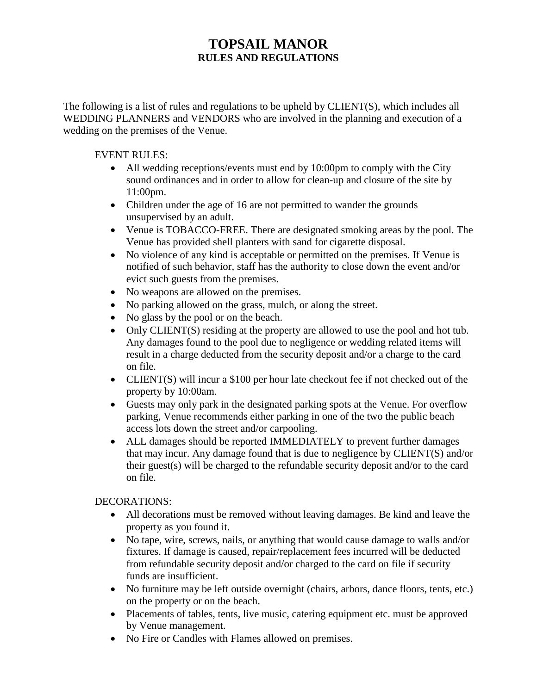# **TOPSAIL MANOR RULES AND REGULATIONS**

The following is a list of rules and regulations to be upheld by CLIENT(S), which includes all WEDDING PLANNERS and VENDORS who are involved in the planning and execution of a wedding on the premises of the Venue.

## EVENT RULES:

- All wedding receptions/events must end by 10:00pm to comply with the City sound ordinances and in order to allow for clean-up and closure of the site by 11:00pm.
- Children under the age of 16 are not permitted to wander the grounds unsupervised by an adult.
- Venue is TOBACCO-FREE. There are designated smoking areas by the pool. The Venue has provided shell planters with sand for cigarette disposal.
- No violence of any kind is acceptable or permitted on the premises. If Venue is notified of such behavior, staff has the authority to close down the event and/or evict such guests from the premises.
- No weapons are allowed on the premises.
- No parking allowed on the grass, mulch, or along the street.
- No glass by the pool or on the beach.
- Only CLIENT(S) residing at the property are allowed to use the pool and hot tub. Any damages found to the pool due to negligence or wedding related items will result in a charge deducted from the security deposit and/or a charge to the card on file.
- CLIENT(S) will incur a \$100 per hour late checkout fee if not checked out of the property by 10:00am.
- Guests may only park in the designated parking spots at the Venue. For overflow parking, Venue recommends either parking in one of the two the public beach access lots down the street and/or carpooling.
- ALL damages should be reported IMMEDIATELY to prevent further damages that may incur. Any damage found that is due to negligence by CLIENT(S) and/or their guest(s) will be charged to the refundable security deposit and/or to the card on file.

# DECORATIONS:

- All decorations must be removed without leaving damages. Be kind and leave the property as you found it.
- No tape, wire, screws, nails, or anything that would cause damage to walls and/or fixtures. If damage is caused, repair/replacement fees incurred will be deducted from refundable security deposit and/or charged to the card on file if security funds are insufficient.
- No furniture may be left outside overnight (chairs, arbors, dance floors, tents, etc.) on the property or on the beach.
- Placements of tables, tents, live music, catering equipment etc. must be approved by Venue management.
- No Fire or Candles with Flames allowed on premises.